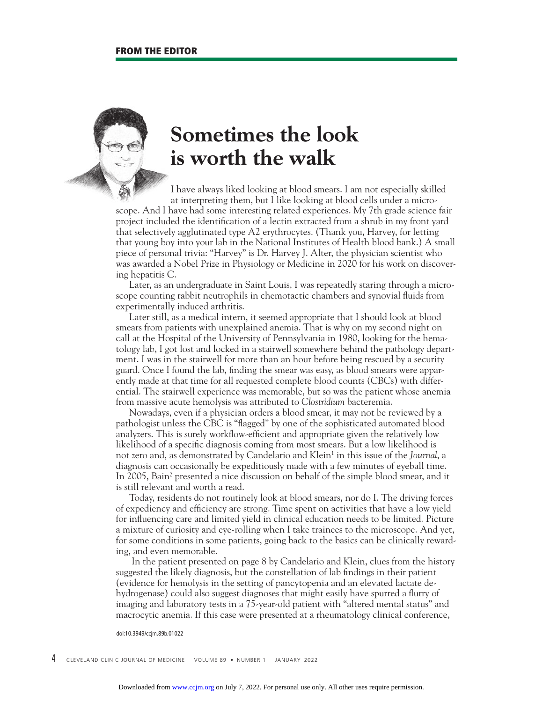## **Sometimes the look is worth the walk**

I have always liked looking at blood smears. I am not especially skilled at interpreting them, but I like looking at blood cells under a micro-

scope. And I have had some interesting related experiences. My 7th grade science fair project included the identification of a lectin extracted from a shrub in my front yard that selectively agglutinated type A2 erythrocytes. (Thank you, Harvey, for letting that young boy into your lab in the National Institutes of Health blood bank.) A small piece of personal trivia: "Harvey" is Dr. Harvey J. Alter, the physician scientist who was awarded a Nobel Prize in Physiology or Medicine in 2020 for his work on discovering hepatitis C.

Later, as an undergraduate in Saint Louis, I was repeatedly staring through a microscope counting rabbit neutrophils in chemotactic chambers and synovial fluids from experimentally induced arthritis.

Later still, as a medical intern, it seemed appropriate that I should look at blood smears from patients with unexplained anemia. That is why on my second night on call at the Hospital of the University of Pennsylvania in 1980, looking for the hematology lab, I got lost and locked in a stairwell somewhere behind the pathology department. I was in the stairwell for more than an hour before being rescued by a security guard. Once I found the lab, finding the smear was easy, as blood smears were apparently made at that time for all requested complete blood counts (CBCs) with differential. The stairwell experience was memorable, but so was the patient whose anemia from massive acute hemolysis was attributed to *Clostridium* bacteremia.

Nowadays, even if a physician orders a blood smear, it may not be reviewed by a pathologist unless the CBC is "flagged" by one of the sophisticated automated blood analyzers. This is surely workflow-efficient and appropriate given the relatively low likelihood of a specific diagnosis coming from most smears. But a low likelihood is not zero and, as demonstrated by Candelario and Klein<sup>1</sup> in this issue of the J*ourna*l, a diagnosis can occasionally be expeditiously made with a few minutes of eyeball time. In 2005, Bain<sup>2</sup> presented a nice discussion on behalf of the simple blood smear, and it is still relevant and worth a read.

Today, residents do not routinely look at blood smears, nor do I. The driving forces of expediency and efficiency are strong. Time spent on activities that have a low yield for influencing care and limited yield in clinical education needs to be limited. Picture a mixture of curiosity and eye-rolling when I take trainees to the microscope. And yet, for some conditions in some patients, going back to the basics can be clinically rewarding, and even memorable.

 In the patient presented on page 8 by Candelario and Klein, clues from the history suggested the likely diagnosis, but the constellation of lab findings in their patient (evidence for hemolysis in the setting of pancytopenia and an elevated lactate dehydrogenase) could also suggest diagnoses that might easily have spurred a flurry of imaging and laboratory tests in a 75-year-old patient with "altered mental status" and macrocytic anemia. If this case were presented at a rheumatology clinical conference,

## doi:10.3949/ccjm.89b.01022